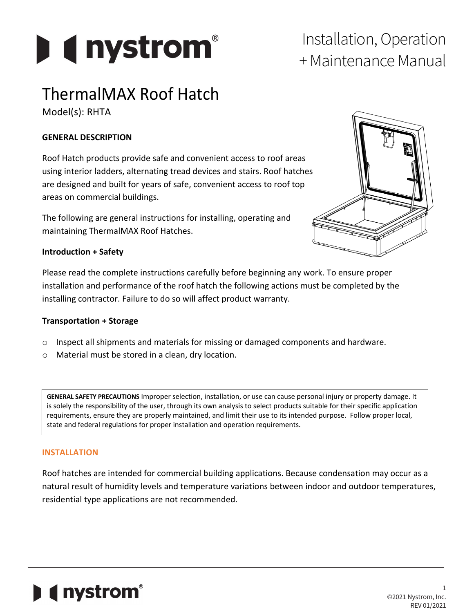

# + Maintenance Manual

### ThermalMAX Roof Hatch

Model(s): RHTA

#### **GENERAL DESCRIPTION**

Roof Hatch products provide safe and convenient access to roof areas using interior ladders, alternating tread devices and stairs. Roof hatches are designed and built for years of safe, convenient access to roof top areas on commercial buildings.

The following are general instructions for installing, operating and maintaining ThermalMAX Roof Hatches.



#### **Introduction + Safety**

Please read the complete instructions carefully before beginning any work. To ensure proper installation and performance of the roof hatch the following actions must be completed by the installing contractor. Failure to do so will affect product warranty.

#### **Transportation + Storage**

- o Inspect all shipments and materials for missing or damaged components and hardware.
- o Material must be stored in a clean, dry location.

**GENERAL SAFETY PRECAUTIONS** Improper selection, installation, or use can cause personal injury or property damage. It is solely the responsibility of the user, through its own analysis to select products suitable for their specific application requirements, ensure they are properly maintained, and limit their use to its intended purpose. Follow proper local, state and federal regulations for proper installation and operation requirements.

#### **INSTALLATION**

Roof hatches are intended for commercial building applications. Because condensation may occur as a natural result of humidity levels and temperature variations between indoor and outdoor temperatures, residential type applications are not recommended.

### **I** ( nystrom<sup>®</sup>

1 ©2021 Nystrom, Inc. REV 01/2021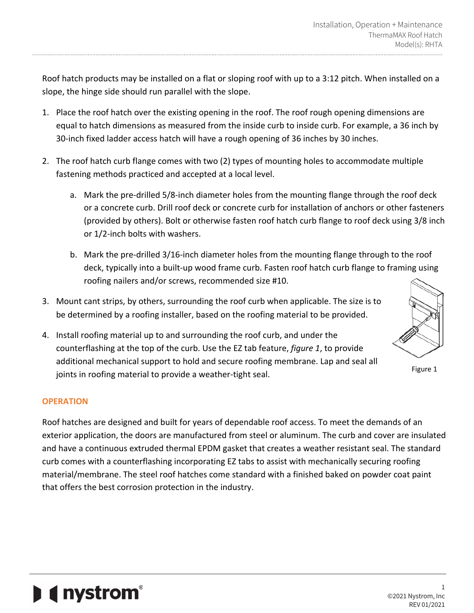Roof hatch products may be installed on a flat or sloping roof with up to a 3:12 pitch. When installed on a slope, the hinge side should run parallel with the slope.

- 1. Place the roof hatch over the existing opening in the roof. The roof rough opening dimensions are equal to hatch dimensions as measured from the inside curb to inside curb. For example, a 36 inch by 30-inch fixed ladder access hatch will have a rough opening of 36 inches by 30 inches.
- 2. The roof hatch curb flange comes with two (2) types of mounting holes to accommodate multiple fastening methods practiced and accepted at a local level.
	- a. Mark the pre-drilled 5/8-inch diameter holes from the mounting flange through the roof deck or a concrete curb. Drill roof deck or concrete curb for installation of anchors or other fasteners (provided by others). Bolt or otherwise fasten roof hatch curb flange to roof deck using 3/8 inch or 1/2-inch bolts with washers.
	- b. Mark the pre-drilled 3/16-inch diameter holes from the mounting flange through to the roof deck, typically into a built-up wood frame curb. Fasten roof hatch curb flange to framing using roofing nailers and/or screws, recommended size #10.
- 3. Mount cant strips, by others, surrounding the roof curb when applicable. The size is to be determined by a roofing installer, based on the roofing material to be provided.
- 4. Install roofing material up to and surrounding the roof curb, and under the counterflashing at the top of the curb. Use the EZ tab feature, *figure 1*, to provide additional mechanical support to hold and secure roofing membrane. Lap and seal all joints in roofing material to provide a weather-tight seal.

#### **OPERATION**

Roof hatches are designed and built for years of dependable roof access. To meet the demands of an exterior application, the doors are manufactured from steel or aluminum. The curb and cover are insulated and have a continuous extruded thermal EPDM gasket that creates a weather resistant seal. The standard curb comes with a counterflashing incorporating EZ tabs to assist with mechanically securing roofing material/membrane. The steel roof hatches come standard with a finished baked on powder coat paint that offers the best corrosion protection in the industry.

## **I** ( nystrom<sup>®</sup>

1 ©2021 Nystrom, Inc REV 01/2021

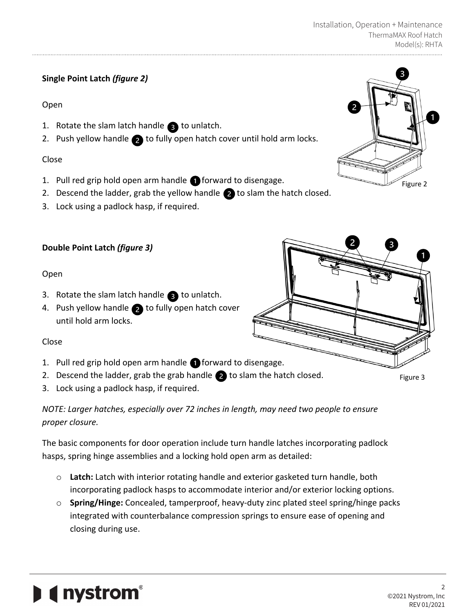#### **Single Point Latch** *(figure 2)*

#### Open

- 1. Rotate the slam latch handle  $\bullet$  to unlatch.
- 2. Push yellow handle  $\bullet$  to fully open hatch cover until hold arm locks.

#### Close

- 1. Pull red grip hold open arm handle  $\bigcap$  forward to disengage.
- 2. Descend the ladder, grab the yellow handle  $\bullet$  to slam the hatch closed.
- 3. Lock using a padlock hasp, if required.

#### **Double Point Latch** *(figure 3)*

#### Open

- 3. Rotate the slam latch handle  $\bullet$  to unlatch.
- 4. Push yellow handle  $\bullet$  to fully open hatch cover until hold arm locks.

#### Close

- 1. Pull red grip hold open arm handle **forward to disengage.**
- 2. Descend the ladder, grab the grab handle  $\bullet$  to slam the hatch closed.
- 3. Lock using a padlock hasp, if required.

**(Inystrom**<sup>®</sup>

*NOTE: Larger hatches, especially over 72 inches in length, may need two people to ensure proper closure.*

The basic components for door operation include turn handle latches incorporating padlock hasps, spring hinge assemblies and a locking hold open arm as detailed:

- o **Latch:** Latch with interior rotating handle and exterior gasketed turn handle, both incorporating padlock hasps to accommodate interior and/or exterior locking options.
- o **Spring/Hinge:** Concealed, tamperproof, heavy-duty zinc plated steel spring/hinge packs integrated with counterbalance compression springs to ensure ease of opening and closing during use.